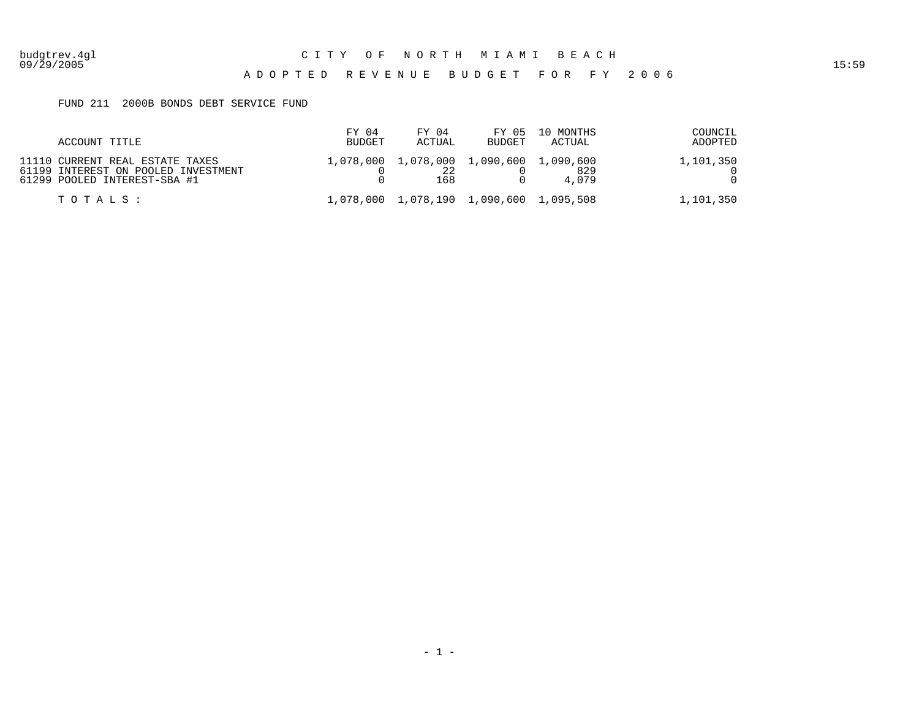### FUND 211 2000B BONDS DEBT SERVICE FUND

| ACCOUNT TITLE                                                                                          | FY 04<br><b>BUDGET</b> | FY 04<br>ACTUAL                                | BUDGET | FY 05 10 MONTHS<br>ACTUAL | COUNCIL<br>ADOPTED |
|--------------------------------------------------------------------------------------------------------|------------------------|------------------------------------------------|--------|---------------------------|--------------------|
| 11110 CURRENT REAL ESTATE TAXES<br>61199 INTEREST ON POOLED INVESTMENT<br>61299 POOLED INTEREST-SBA #1 |                        | 1,078,000 1,078,000 1,090,600 1,090,600<br>168 |        | 829<br>4.079              | 1,101,350          |
| TOTALS :                                                                                               |                        | 1,078,000 1,078,190 1,090,600 1,095,508        |        |                           | 1,101,350          |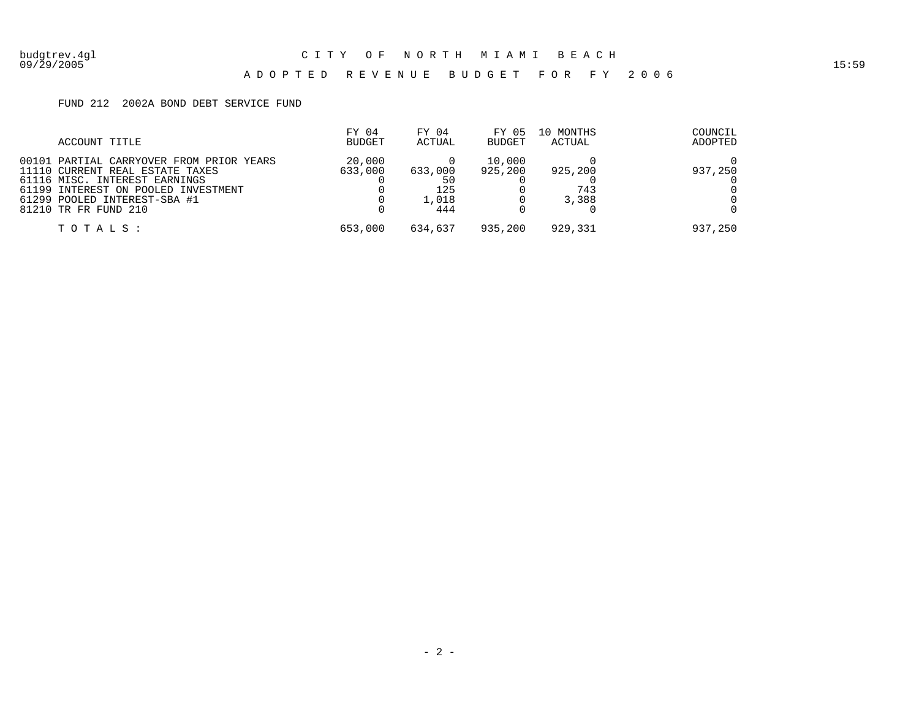## FUND 212 2002A BOND DEBT SERVICE FUND

| ACCOUNT TITLE                                                                                                                                                                                               | FY 04<br><b>BUDGET</b> | FY 04<br>ACTUAL                      | FY 05<br><b>BUDGET</b> | 10 MONTHS<br>ACTUAL     | COUNCIL<br>ADOPTED |
|-------------------------------------------------------------------------------------------------------------------------------------------------------------------------------------------------------------|------------------------|--------------------------------------|------------------------|-------------------------|--------------------|
| 00101 PARTIAL CARRYOVER FROM PRIOR YEARS<br>11110 CURRENT REAL ESTATE TAXES<br>61116 MISC. INTEREST EARNINGS<br>61199 INTEREST ON POOLED INVESTMENT<br>61299 POOLED INTEREST-SBA #1<br>81210 TR FR FUND 210 | 20,000<br>633,000      | 633,000<br>50<br>125<br>1,018<br>444 | 10,000<br>925,200      | 925,200<br>743<br>3,388 | 937,250            |
| TOTALS:                                                                                                                                                                                                     | 653,000                | 634,637                              | 935,200                | 929,331                 | 937,250            |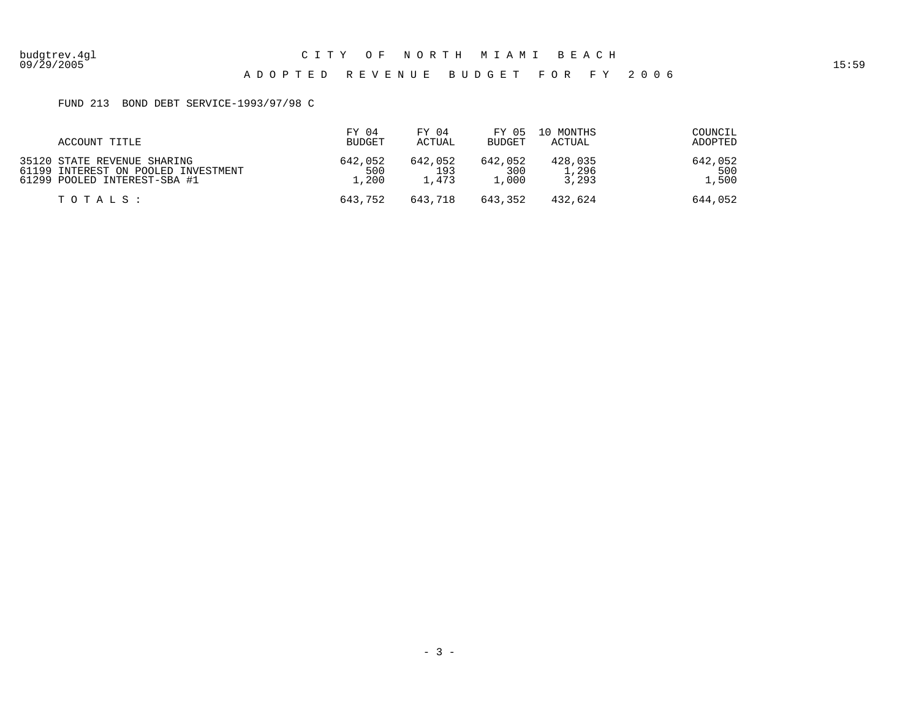### FUND 213 BOND DEBT SERVICE-1993/97/98 C

| ACCOUNT TITLE                       | FY 04         | FY 04   | FY 05         | 10 MONTHS | COUNCIL |
|-------------------------------------|---------------|---------|---------------|-----------|---------|
|                                     | <b>BUDGET</b> | ACTUAL  | <b>BUDGET</b> | ACTUAL    | ADOPTED |
| 35120 STATE REVENUE SHARING         | 642,052       | 642,052 | 642.052       | 428,035   | 642,052 |
| 61199 INTEREST ON POOLED INVESTMENT | 500           | 193     | 300           | 1,296     | 500     |
| 61299 POOLED INTEREST-SBA #1        | 1,200         | 1.473   | 1,000         | 3,293     | 1,500   |
| TOTALS :                            | 643,752       | 643,718 | 643,352       | 432,624   | 644,052 |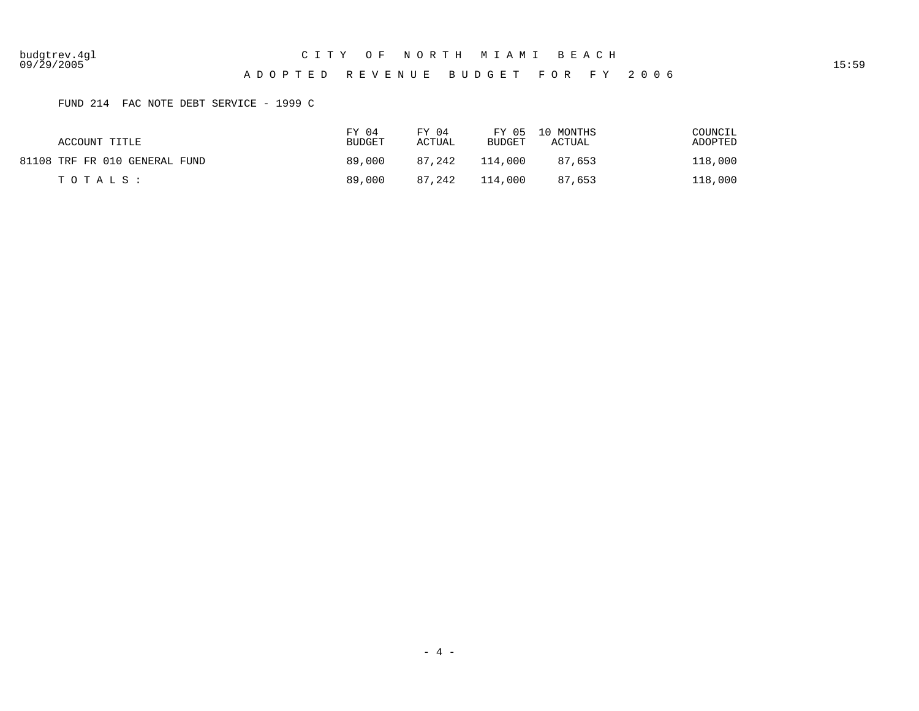09/29/2005 15:59

#### A D O P T E D R E V E N U E B U D G E T F O R F Y 2 0 0 6

# FUND 214 FAC NOTE DEBT SERVICE - 1999 C

| ACCOUNT TITLE                 | FY 04<br>BUDGET | FY 04<br>ACTUAL | BUDGET         | FY 05 10 MONTHS<br>ACTUAL | COUNCIL<br>ADOPTED |
|-------------------------------|-----------------|-----------------|----------------|---------------------------|--------------------|
| 81108 TRF FR 010 GENERAL FUND | 89,000          |                 | 87,242 114,000 | 87.653                    | 118,000            |
| TOTALS :                      | 89,000          |                 | 87.242 114.000 | 87,653                    | 118,000            |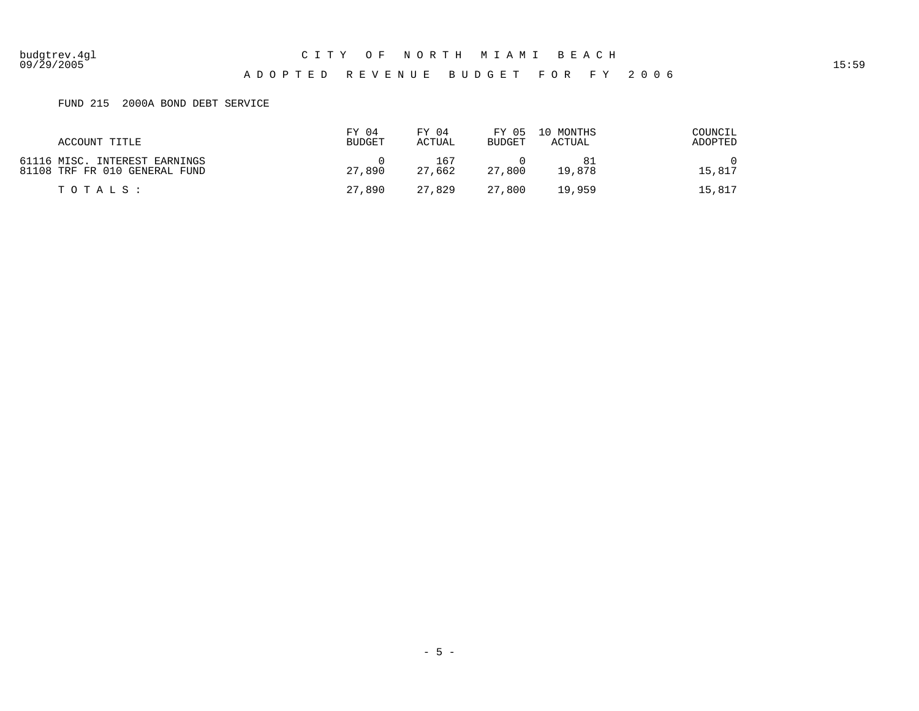09/29/2005 15:59

#### A D O P T E D R E V E N U E B U D G E T F O R F Y 2 0 0 6

# FUND 215 2000A BOND DEBT SERVICE

| ACCOUNT TITLE                                                  | FY 04<br><b>BUDGET</b> | FY 04<br>ACTUAL | FY 05<br>BUDGET | 10 MONTHS<br>ACTUAL | COUNCIL<br>ADOPTED |
|----------------------------------------------------------------|------------------------|-----------------|-----------------|---------------------|--------------------|
| 61116 MISC. INTEREST EARNINGS<br>81108 TRF FR 010 GENERAL FUND | 27,890                 | 167<br>27,662   | 27,800          | 19,878              | 15,817             |
| TOTALS :                                                       | 27,890                 | 27,829          | 27,800          | 19,959              | 15,817             |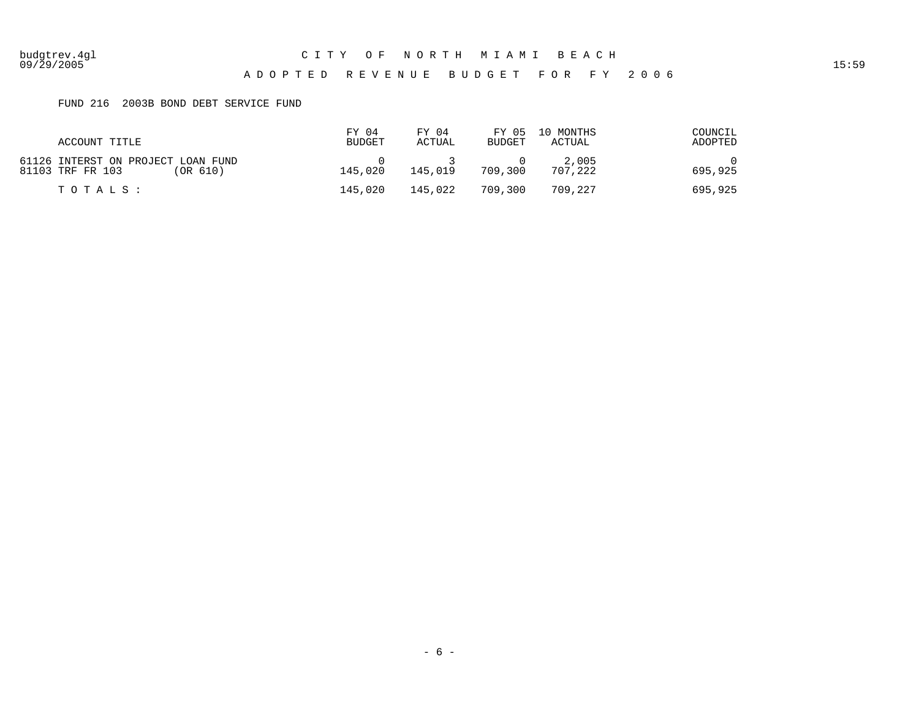## FUND 216 2003B BOND DEBT SERVICE FUND

| ACCOUNT TITLE                                                      | FY 04<br><b>BUDGET</b> | FY 04<br>ACTUAL | FY 05<br><b>BUDGET</b> | 10 MONTHS<br>ACTUAL | COUNCIL<br>ADOPTED |
|--------------------------------------------------------------------|------------------------|-----------------|------------------------|---------------------|--------------------|
| 61126 INTERST ON PROJECT LOAN FUND<br>81103 TRF FR 103<br>(OR 610) | 145,020                | 145,019         | 709,300                | 2,005<br>707,222    | 695,925            |
| TOTALS :                                                           | 145,020                | 145,022         | 709,300                | 709.227             | 695,925            |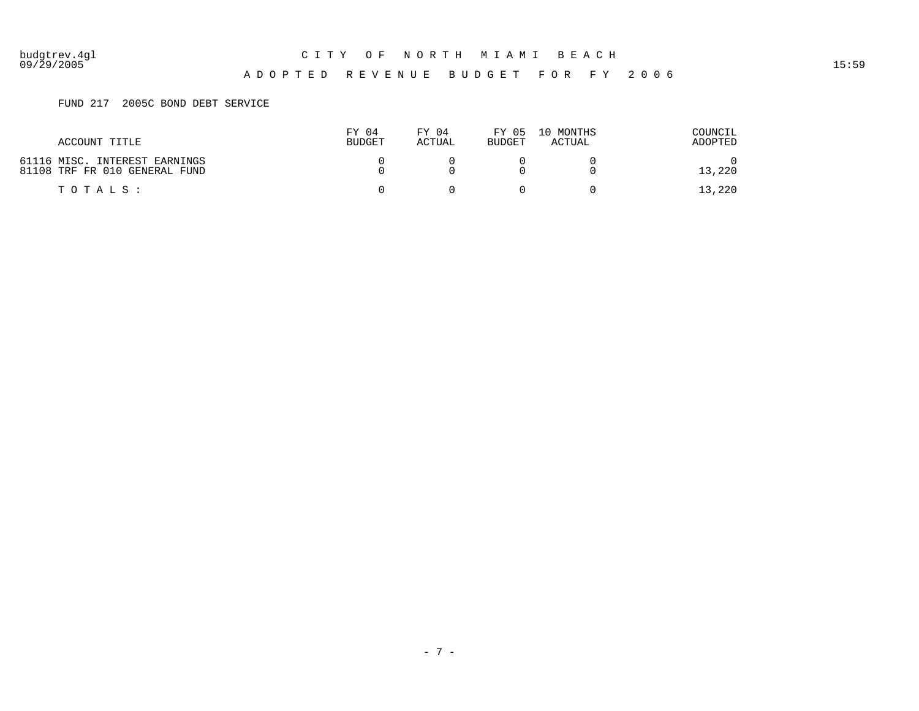09/29/2005 15:59

#### A D O P T E D R E V E N U E B U D G E T F O R F Y 2 0 0 6

## FUND 217 2005C BOND DEBT SERVICE

| ACCOUNT TITLE                                                  | FY 04<br>BUDGET | FY 04<br><b>ACTUAL</b> | FY 05<br><b>BUDGET</b> | 10 MONTHS<br>ACTUAL | COUNCIL<br>ADOPTED |
|----------------------------------------------------------------|-----------------|------------------------|------------------------|---------------------|--------------------|
| 61116 MISC. INTEREST EARNINGS<br>81108 TRF FR 010 GENERAL FUND |                 |                        |                        |                     | 13,220             |
| TOTALS :                                                       |                 |                        |                        |                     | 13,220             |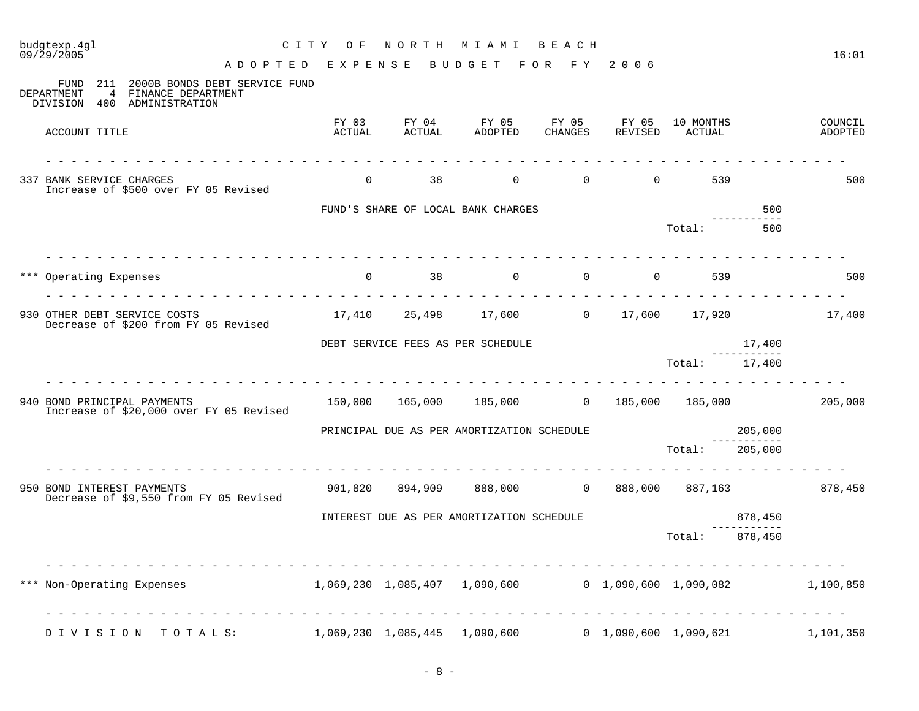# budgtexp.4gl C I T Y O F N O R T H M I A M I B E A C H 09/29/2005 16:01 A D O P T E D E X P E N S E B U D G E T F O R F Y 2 0 0 6 FUND 211 2000B BONDS DEBT SERVICE FUND DEPARTMENT 4 FINANCE DEPARTMENT DEPARTMENT 4 FINANCE DEPARTMENT DIVISION 400 ADMINISTRATION FY 03 FY 04 FY 05 FY 05 FY 05 10 MONTHS COUNCIL ACCOUNT TITLE ACTUAL ACTUAL ADOPTED CHANGES REVISED ACTUAL ADOPTED - - - - - - - - - - - - - - - - - - - - - - - - - - - - - - - - - - - - - - - - - - - - - - - - - - - - - - - - - - - - - - - 337 BANK SERVICE CHARGES 0 38 0 0 0 539 500 Increase of \$500 over FY 05 Revised FUND'S SHARE OF LOCAL BANK CHARGES 500 ----------- Total: 500 - - - - - - - - - - - - - - - - - - - - - - - - - - - - - - - - - - - - - - - - - - - - - - - - - - - - - - - - - - - - - - - \*\*\* Operating Expenses 0 38 0 0 0 539 500 - - - - - - - - - - - - - - - - - - - - - - - - - - - - - - - - - - - - - - - - - - - - - - - - - - - - - - - - - - - - - - - 930 OTHER DEBT SERVICE COSTS 17,410 25,498 17,600 0 17,600 17,920 17,400 Decrease of \$200 from FY 05 Revised DEBT SERVICE FEES AS PER SCHEDULE 17,400 ----------- Total: 17,400  $-$ 940 BOND PRINCIPAL PAYMENTS 150,000 165,000 185,000 0 185,000 185,000 205,000 Increase of \$20,000 over FY 05 Revised PRINCIPAL DUE AS PER AMORTIZATION SCHEDULE 205,000 ----------- Total: 205,000 - - - - - - - - - - - - - - - - - - - - - - - - - - - - - - - - - - - - - - - - - - - - - - - - - - - - - - - - - - - - - - - 950 BOND INTEREST PAYMENTS 901,820 894,909 888,000 0 888,000 887,163 878,450 Decrease of \$9,550 from FY 05 Revised INTEREST DUE AS PER AMORTIZATION SCHEDULE **878,450** ----------- Total: 878,450 - - - - - - - - - - - - - - - - - - - - - - - - - - - - - - - - - - - - - - - - - - - - - - - - - - - - - - - - - - - - - - - \*\*\* Non-Operating Expenses  $1,069,230 \quad 1,085,407 \quad 1,090,600$   $0 \quad 1,090,600$  1,090,600 1,090,082 1,100,850 - - - - - - - - - - - - - - - - - - - - - - - - - - - - - - - - - - - - - - - - - - - - - - - - - - - - - - - - - - - - - - - D I V I S I O N T O T A L S: 1,069,230 1,085,445 1,090,600 0 1,090,600 1,090,621 1,101,350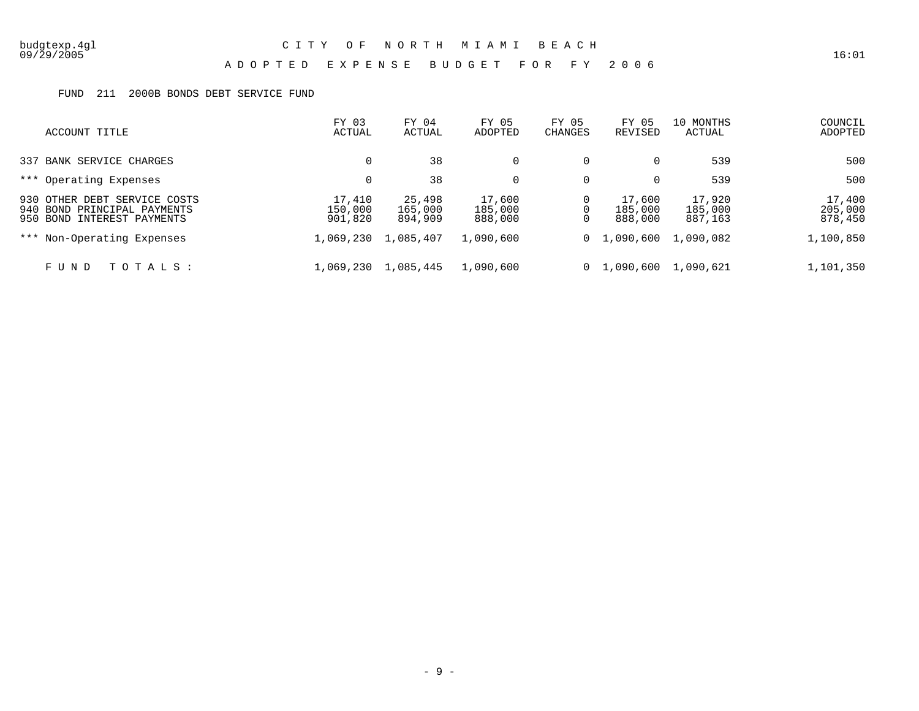#### A D O P T E D E X P E N S E B U D G E T F O R F Y 2 0 0 6

#### FUND 211 2000B BONDS DEBT SERVICE FUND

| ACCOUNT TITLE                                                                             | FY 03<br>ACTUAL              | FY 04<br>ACTUAL              | FY 05<br>ADOPTED             | FY 05<br>CHANGES | FY 05<br>REVISED             | 10 MONTHS<br>ACTUAL          | COUNCIL<br>ADOPTED           |
|-------------------------------------------------------------------------------------------|------------------------------|------------------------------|------------------------------|------------------|------------------------------|------------------------------|------------------------------|
| 337 BANK SERVICE CHARGES                                                                  |                              | 38                           | $\Omega$                     | 0                | 0                            | 539                          | 500                          |
| *** Operating Expenses                                                                    |                              | 38                           | 0                            | $\mathbf 0$      | 0                            | 539                          | 500                          |
| 930 OTHER DEBT SERVICE COSTS<br>940 BOND PRINCIPAL PAYMENTS<br>950 BOND INTEREST PAYMENTS | 17,410<br>150,000<br>901,820 | 25,498<br>165,000<br>894,909 | 17,600<br>185,000<br>888,000 |                  | 17,600<br>185,000<br>888,000 | 17,920<br>185,000<br>887,163 | 17,400<br>205,000<br>878,450 |
| *** Non-Operating Expenses                                                                | 1,069,230                    | 1,085,407                    | 1,090,600                    |                  | $0 \quad 1,090,600$          | 1,090,082                    | 1,100,850                    |
| FUND<br>TOTALS:                                                                           | 1,069,230                    | 1,085,445                    | 1,090,600                    |                  | $0\quad 1,090,600$           | 1,090,621                    | 1,101,350                    |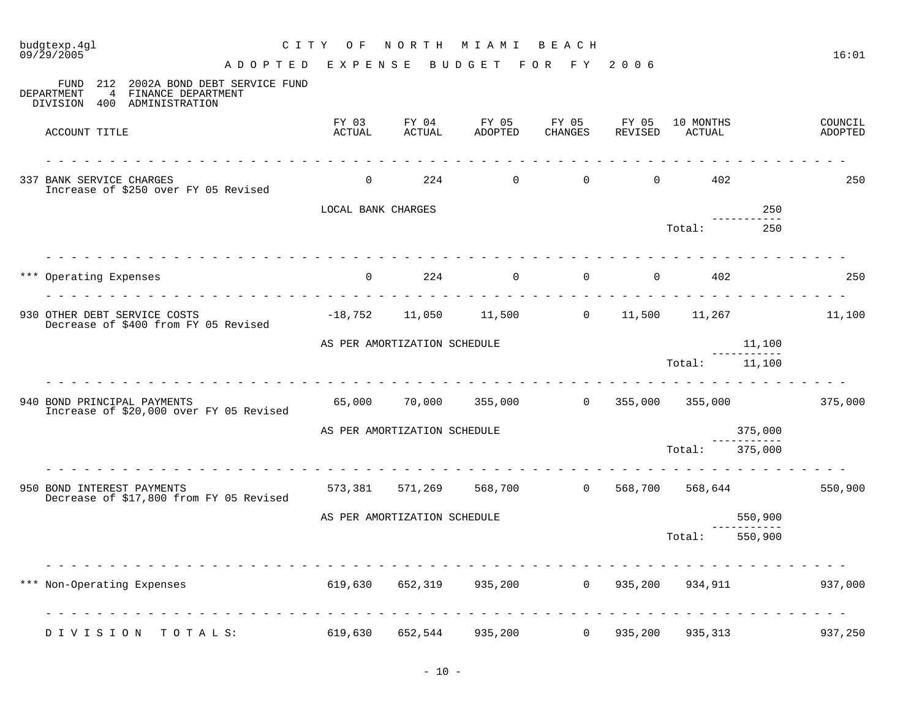| 09/29/2005                                                                                                    | ADOPTED EXPENSE BUDGET |                              |                                           | FOR FY           | 2006             |                       |                    | 16:01              |
|---------------------------------------------------------------------------------------------------------------|------------------------|------------------------------|-------------------------------------------|------------------|------------------|-----------------------|--------------------|--------------------|
| 212 2002A BOND DEBT SERVICE FUND<br>FUND<br>4 FINANCE DEPARTMENT<br>DEPARTMENT<br>DIVISION 400 ADMINISTRATION |                        |                              |                                           |                  |                  |                       |                    |                    |
| ACCOUNT TITLE                                                                                                 | FY 03<br>ACTUAL        | FY 04<br>ACTUAL              | FY 05<br>ADOPTED                          | FY 05<br>CHANGES | FY 05<br>REVISED | 10 MONTHS<br>ACTUAL   |                    | COUNCIL<br>ADOPTED |
| 337 BANK SERVICE CHARGES<br>Increase of \$250 over FY 05 Revised                                              | $\Omega$               | 224                          | $\Omega$                                  | $\Omega$         | $\Omega$         | 402                   |                    | 250                |
|                                                                                                               | LOCAL BANK CHARGES     |                              |                                           |                  |                  |                       | 250                |                    |
|                                                                                                               |                        |                              |                                           |                  |                  | Total:                | 250                |                    |
| *** Operating Expenses                                                                                        | $\overline{0}$         | 224                          | $\overline{0}$                            | $\overline{0}$   |                  | 402<br>$\overline{0}$ |                    | 250                |
| 930 OTHER DEBT SERVICE COSTS<br>Decrease of \$400 from FY 05 Revised                                          | $-18,752$              |                              | 11,050 11,500 0                           |                  |                  | 11,500 11,267         |                    | 11,100             |
|                                                                                                               |                        | AS PER AMORTIZATION SCHEDULE |                                           |                  |                  |                       | 11,100             |                    |
|                                                                                                               |                        |                              |                                           |                  |                  | Total:                | --------<br>11,100 |                    |
| 940 BOND PRINCIPAL PAYMENTS<br>Increase of \$20,000 over FY 05 Revised                                        | 65,000                 |                              | 70,000   355,000      0  355,000  355,000 |                  |                  |                       |                    | 375,000            |
|                                                                                                               |                        | AS PER AMORTIZATION SCHEDULE |                                           |                  |                  |                       | 375,000            |                    |
|                                                                                                               |                        |                              |                                           |                  |                  | Total: 375,000        |                    |                    |
| 950 BOND INTEREST PAYMENTS<br>Decrease of \$17,800 from FY 05 Revised                                         | 573,381                |                              | 571,269 568,700 0 568,700 568,644         |                  |                  |                       |                    | 550,900            |
|                                                                                                               |                        | AS PER AMORTIZATION SCHEDULE |                                           |                  |                  |                       | 550,900            |                    |
|                                                                                                               |                        |                              |                                           |                  |                  | Total:                | 550,900            |                    |
| .<br>Non-Operating Expenses 619,630 652,319 935,200 0 935,200 934,911 937,000<br>***                          |                        |                              |                                           |                  |                  |                       |                    |                    |
| DIVISION<br>TOTALS:                                                                                           | 619,630                | 652,544                      | 935,200                                   | $\Omega$         | 935,200          | 935,313               |                    | 937,250            |
|                                                                                                               |                        |                              |                                           |                  |                  |                       |                    |                    |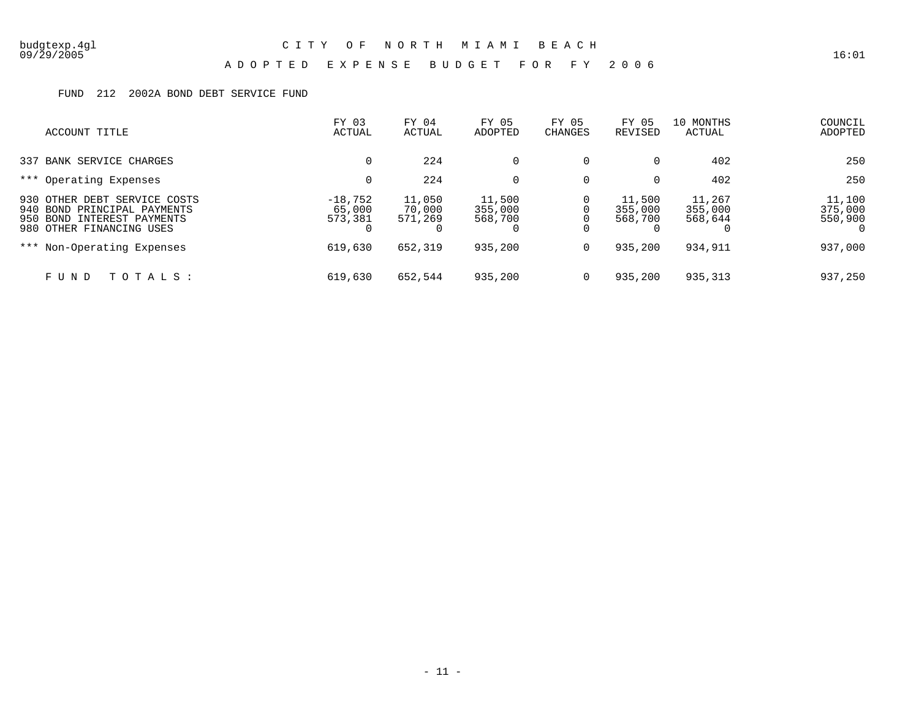#### A D O P T E D E X P E N S E B U D G E T F O R F Y 2 0 0 6

#### FUND 212 2002A BOND DEBT SERVICE FUND

| ACCOUNT TITLE                                                                                                            | FY 03<br>ACTUAL                | FY 04<br>ACTUAL             | FY 05<br>ADOPTED             | FY 05<br><b>CHANGES</b> | FY 05<br>REVISED             | 10 MONTHS<br>ACTUAL          | COUNCIL<br>ADOPTED                       |
|--------------------------------------------------------------------------------------------------------------------------|--------------------------------|-----------------------------|------------------------------|-------------------------|------------------------------|------------------------------|------------------------------------------|
| 337 BANK SERVICE CHARGES                                                                                                 |                                | 224                         | $\Omega$                     | 0                       | $\mathbf 0$                  | 402                          | 250                                      |
| *** Operating Expenses                                                                                                   |                                | 224                         | $\Omega$                     | 0                       | 0                            | 402                          | 250                                      |
| 930 OTHER DEBT SERVICE COSTS<br>940 BOND PRINCIPAL PAYMENTS<br>950 BOND<br>INTEREST PAYMENTS<br>980 OTHER FINANCING USES | $-18,752$<br>65,000<br>573,381 | 11,050<br>70,000<br>571,269 | 11,500<br>355,000<br>568,700 | 0                       | 11,500<br>355,000<br>568,700 | 11,267<br>355,000<br>568,644 | 11,100<br>375,000<br>550,900<br>$\Omega$ |
| *** Non-Operating Expenses                                                                                               | 619,630                        | 652,319                     | 935,200                      | 0                       | 935,200                      | 934,911                      | 937,000                                  |
| TOTALS:<br>FUND                                                                                                          | 619,630                        | 652,544                     | 935,200                      | 0                       | 935,200                      | 935,313                      | 937,250                                  |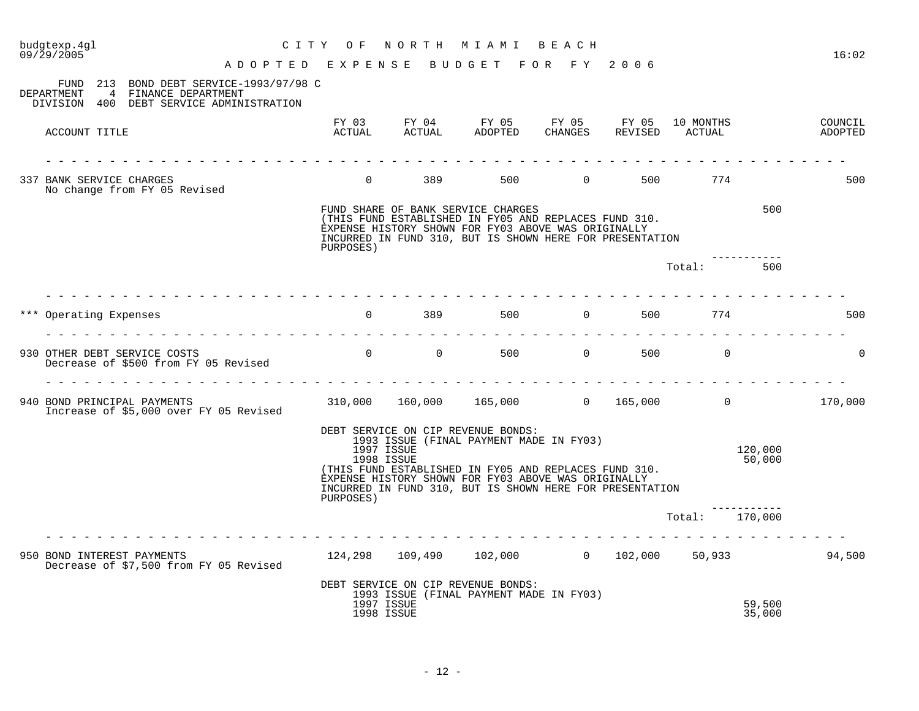| budgtexp.4gl<br>C I T Y<br>09/29/2005<br>A D O P T E D E X P E N S E B U D G E T F O R F Y 2006                                 | O F              | N O R T H                | M I A M I                                                                                                                                                                                                                                                 | BEACH          |                       |                     | 16:02                                                             |
|---------------------------------------------------------------------------------------------------------------------------------|------------------|--------------------------|-----------------------------------------------------------------------------------------------------------------------------------------------------------------------------------------------------------------------------------------------------------|----------------|-----------------------|---------------------|-------------------------------------------------------------------|
| 213 BOND DEBT SERVICE-1993/97/98 C<br>FUND<br>4 FINANCE DEPARTMENT<br>DEPARTMENT<br>400 DEBT SERVICE ADMINISTRATION<br>DIVISION |                  |                          |                                                                                                                                                                                                                                                           |                |                       |                     |                                                                   |
| ACCOUNT TITLE                                                                                                                   | ACTUAL           | ACTUAL                   | FY 03 FY 04 FY 05 FY 05 FY 05<br>ADOPTED                                                                                                                                                                                                                  | CHANGES        | REVISED               | 10 MONTHS<br>ACTUAL | COUNCIL<br>ADOPTED                                                |
| 337 BANK SERVICE CHARGES<br>No change from FY 05 Revised                                                                        | $\Omega$         | 389 38                   |                                                                                                                                                                                                                                                           | 500 000        | $\overline{0}$<br>500 | 774                 | 500                                                               |
|                                                                                                                                 | PURPOSES)        |                          | FUND SHARE OF BANK SERVICE CHARGES<br>(THIS FUND ESTABLISHED IN FY05 AND REPLACES FUND 310.<br>EXPENSE HISTORY SHOWN FOR FY03 ABOVE WAS ORIGINALLY<br>INCURRED IN FUND 310, BUT IS SHOWN HERE FOR PRESENTATION                                            |                |                       |                     | 500                                                               |
|                                                                                                                                 |                  |                          |                                                                                                                                                                                                                                                           |                |                       | Total:              | 500                                                               |
| *** Operating Expenses                                                                                                          |                  | $0$ 389                  | 500 000                                                                                                                                                                                                                                                   |                | $\overline{0}$        | 500 000<br>774      | 500                                                               |
| 930 OTHER DEBT SERVICE COSTS<br>Decrease of \$500 from FY 05 Revised                                                            | $\overline{0}$ 0 |                          | 500                                                                                                                                                                                                                                                       | $\overline{0}$ | 500                   | $\overline{0}$      | $\Omega$                                                          |
| 940 BOND PRINCIPAL PAYMENTS<br>Increase of \$5,000 over FY 05 Revised                                                           |                  |                          |                                                                                                                                                                                                                                                           |                |                       |                     | $310,000$ $160,000$ $165,000$ 0 $165,000$ 0 $165,000$ 0 $170,000$ |
|                                                                                                                                 | PURPOSES)        | 1997 ISSUE<br>1998 ISSUE | DEBT SERVICE ON CIP REVENUE BONDS:<br>1993 ISSUE (FINAL PAYMENT MADE IN FY03)<br>(THIS FUND ESTABLISHED IN FY05 AND REPLACES FUND 310.<br>EXPENSE HISTORY SHOWN FOR FY03 ABOVE WAS ORIGINALLY<br>INCURRED IN FUND 310, BUT IS SHOWN HERE FOR PRESENTATION |                |                       | 120,000<br>50,000   |                                                                   |
|                                                                                                                                 |                  |                          |                                                                                                                                                                                                                                                           |                |                       | Total:<br>170,000   |                                                                   |
| 950 BOND INTEREST PAYMENTS<br>Decrease of \$7,500 from FY 05 Revised                                                            |                  |                          | $124,298$ $109,490$ $102,000$ 0 $102,000$                                                                                                                                                                                                                 |                |                       | 50,933              | 94,500                                                            |
|                                                                                                                                 |                  | 1997 ISSUE<br>1998 ISSUE | DEBT SERVICE ON CIP REVENUE BONDS:<br>1993 ISSUE (FINAL PAYMENT MADE IN FY03)                                                                                                                                                                             |                |                       | 59,500<br>35,000    |                                                                   |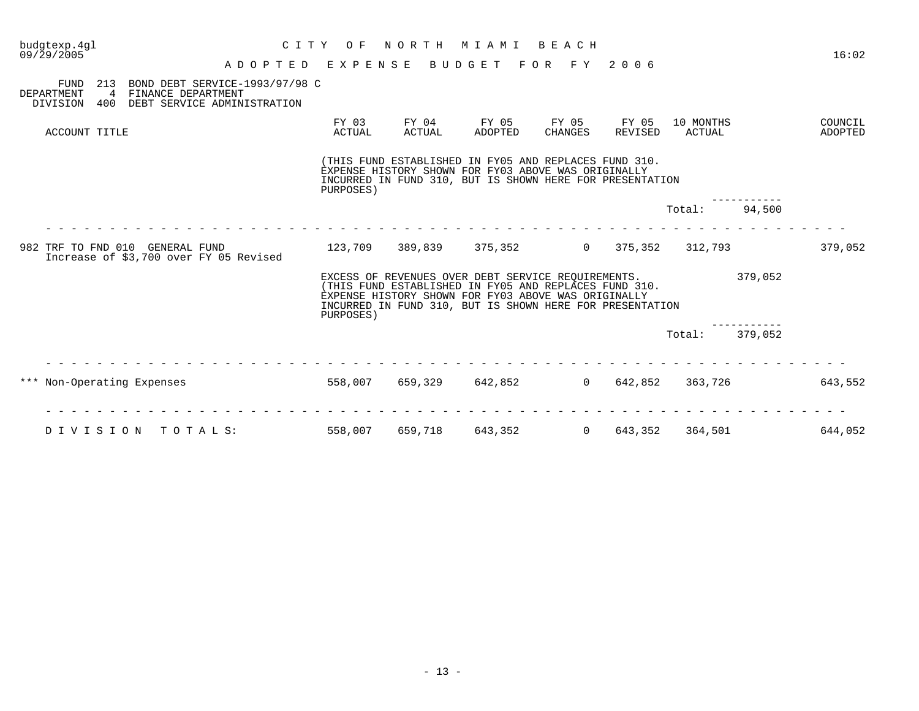| C I T Y<br>budgtexp.4ql<br>09/29/2005<br>ADOPTED EXPENSE                                                                                 | O F                                                                                                                                                                                                                                         | NORTH           | M I A M I<br>BUDGET FOR FY 2006 | BEACH            |                   |                     |         | 16:02              |
|------------------------------------------------------------------------------------------------------------------------------------------|---------------------------------------------------------------------------------------------------------------------------------------------------------------------------------------------------------------------------------------------|-----------------|---------------------------------|------------------|-------------------|---------------------|---------|--------------------|
| 213<br>BOND DEBT SERVICE-1993/97/98 C<br>FUND<br>4<br>FINANCE DEPARTMENT<br>DEPARTMENT<br>DEBT SERVICE ADMINISTRATION<br>DIVISION<br>400 |                                                                                                                                                                                                                                             |                 |                                 |                  |                   |                     |         |                    |
| ACCOUNT TITLE                                                                                                                            | FY 03<br>ACTUAL                                                                                                                                                                                                                             | FY 04<br>ACTUAL | FY 05<br>ADOPTED                | FY 05<br>CHANGES | FY 05<br>REVISED  | 10 MONTHS<br>ACTUAL |         | COUNCIL<br>ADOPTED |
|                                                                                                                                          | (THIS FUND ESTABLISHED IN FY05 AND REPLACES FUND 310.<br>EXPENSE HISTORY SHOWN FOR FY03 ABOVE WAS ORIGINALLY<br>INCURRED IN FUND 310, BUT IS SHOWN HERE FOR PRESENTATION<br>PURPOSES)                                                       |                 |                                 |                  |                   |                     |         |                    |
|                                                                                                                                          |                                                                                                                                                                                                                                             |                 |                                 |                  |                   | Total:              | 94,500  |                    |
| 982 TRF TO FND 010 GENERAL FUND<br>Increase of \$3,700 over FY 05 Revised                                                                | 123,709 389,839 375,352                                                                                                                                                                                                                     |                 |                                 |                  | $0\qquad 375,352$ | 312,793             |         | 379,052            |
|                                                                                                                                          | EXCESS OF REVENUES OVER DEBT SERVICE REQUIREMENTS.<br>(THIS FUND ESTABLISHED IN FY05 AND REPLACES FUND 310.<br>EXPENSE HISTORY SHOWN FOR FY03 ABOVE WAS ORIGINALLY<br>INCURRED IN FUND 310, BUT IS SHOWN HERE FOR PRESENTATION<br>PURPOSES) |                 |                                 |                  |                   |                     | 379,052 |                    |
|                                                                                                                                          |                                                                                                                                                                                                                                             |                 |                                 |                  |                   | Total:              | 379,052 |                    |
| *** Non-Operating Expenses                                                                                                               | 558,007 659,329 642,852                                                                                                                                                                                                                     |                 |                                 |                  | 0 642,852         | 363,726             |         | 643,552            |
| DIVISION<br>TOTALS:                                                                                                                      | 558,007                                                                                                                                                                                                                                     | 659,718         | 643,352                         | $\Omega$         | 643,352           | 364,501             |         | 644,052            |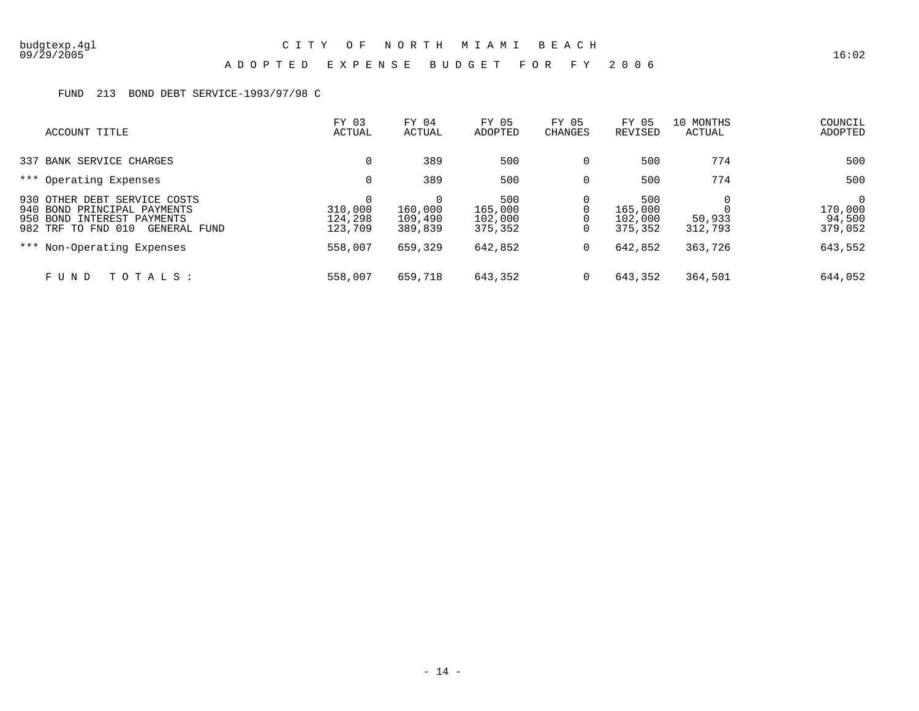#### A D O P T E D E X P E N S E B U D G E T F O R F Y 2 0 0 6

#### FUND 213 BOND DEBT SERVICE-1993/97/98 C

| ACCOUNT TITLE                                                                                                                   | FY 03<br>ACTUAL               | FY 04<br>ACTUAL                    | FY 05<br>ADOPTED                     | FY 05<br><b>CHANGES</b> | FY 05<br>REVISED                     | 10 MONTHS<br>ACTUAL | COUNCIL<br>ADOPTED                          |
|---------------------------------------------------------------------------------------------------------------------------------|-------------------------------|------------------------------------|--------------------------------------|-------------------------|--------------------------------------|---------------------|---------------------------------------------|
| 337 BANK SERVICE CHARGES                                                                                                        |                               | 389                                | 500                                  | 0                       | 500                                  | 774                 | 500                                         |
| *** Operating Expenses                                                                                                          |                               | 389                                | 500                                  | 0                       | 500                                  | 774                 | 500                                         |
| 930 OTHER DEBT SERVICE COSTS<br>940 BOND PRINCIPAL PAYMENTS<br>950 BOND INTEREST PAYMENTS<br>982 TRF TO FND 010<br>GENERAL FUND | 310,000<br>124,298<br>123,709 | 0<br>160,000<br>109,490<br>389,839 | 500<br>165,000<br>102,000<br>375,352 | 0<br>0                  | 500<br>165,000<br>102,000<br>375,352 | 50,933<br>312,793   | $\mathbf 0$<br>170,000<br>94,500<br>379,052 |
| *** Non-Operating Expenses                                                                                                      | 558,007                       | 659,329                            | 642,852                              | 0                       | 642,852                              | 363,726             | 643,552                                     |
| TOTALS :<br>FUND                                                                                                                | 558,007                       | 659,718                            | 643,352                              | 0                       | 643,352                              | 364,501             | 644,052                                     |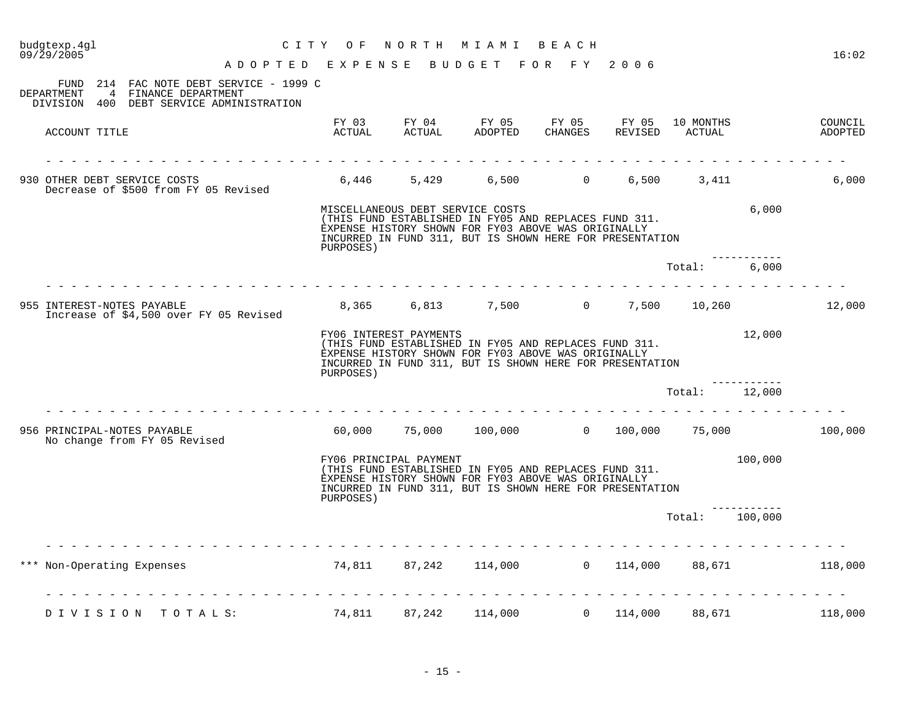| budgtexp.4gl<br>09/29/2005                                                                                 | C I T Y                            | O F                                                                                                                                                                                                                        | NORTH                            | M I A M I                                                                                                                                                                | BEACH            |                  |                     |         | 16:02              |
|------------------------------------------------------------------------------------------------------------|------------------------------------|----------------------------------------------------------------------------------------------------------------------------------------------------------------------------------------------------------------------------|----------------------------------|--------------------------------------------------------------------------------------------------------------------------------------------------------------------------|------------------|------------------|---------------------|---------|--------------------|
|                                                                                                            | A D O P T E D E X P E N S E        |                                                                                                                                                                                                                            |                                  | BUDGET<br>F O R                                                                                                                                                          | F Y              | 2 0 0 6          |                     |         |                    |
| FUND<br>$4\overline{ }$<br>FINANCE DEPARTMENT<br>DEPARTMENT<br>400 DEBT SERVICE ADMINISTRATION<br>DIVISION | 214 FAC NOTE DEBT SERVICE - 1999 C |                                                                                                                                                                                                                            |                                  |                                                                                                                                                                          |                  |                  |                     |         |                    |
| ACCOUNT TITLE                                                                                              |                                    | FY 03<br>ACTUAL                                                                                                                                                                                                            | FY 04<br>ACTUAL                  | FY 05<br>ADOPTED                                                                                                                                                         | FY 05<br>CHANGES | FY 05<br>REVISED | 10 MONTHS<br>ACTUAL |         | COUNCIL<br>ADOPTED |
| 930 OTHER DEBT SERVICE COSTS<br>Decrease of \$500 from FY 05 Revised                                       |                                    | 6,446                                                                                                                                                                                                                      | 5,429                            | 6,500                                                                                                                                                                    | $\overline{0}$   | 6,500            | 3,411               |         | 6,000              |
|                                                                                                            |                                    | PURPOSES)                                                                                                                                                                                                                  | MISCELLANEOUS DEBT SERVICE COSTS | (THIS FUND ESTABLISHED IN FY05 AND REPLACES FUND 311.<br>EXPENSE HISTORY SHOWN FOR FY03 ABOVE WAS ORIGINALLY<br>INCURRED IN FUND 311, BUT IS SHOWN HERE FOR PRESENTATION |                  |                  |                     | 6,000   |                    |
|                                                                                                            |                                    |                                                                                                                                                                                                                            |                                  |                                                                                                                                                                          |                  |                  | Total:              | 6,000   |                    |
| 955 INTEREST-NOTES PAYABLE<br>Increase of \$4,500 over FY 05 Revised                                       |                                    |                                                                                                                                                                                                                            |                                  | 8,365 6,813 7,500 0                                                                                                                                                      |                  | 7,500            | 10,260              |         | 12,000             |
|                                                                                                            |                                    | PURPOSES)                                                                                                                                                                                                                  | FY06 INTEREST PAYMENTS           | (THIS FUND ESTABLISHED IN FY05 AND REPLACES FUND 311.<br>EXPENSE HISTORY SHOWN FOR FY03 ABOVE WAS ORIGINALLY<br>INCURRED IN FUND 311, BUT IS SHOWN HERE FOR PRESENTATION |                  |                  |                     | 12,000  |                    |
|                                                                                                            |                                    |                                                                                                                                                                                                                            |                                  |                                                                                                                                                                          |                  |                  | Total:              | 12,000  |                    |
| 956 PRINCIPAL-NOTES PAYABLE<br>No change from FY 05 Revised                                                |                                    | 60,000                                                                                                                                                                                                                     | 75,000                           | $100,000$ 0                                                                                                                                                              |                  | 100,000          | 75,000              |         | 100,000            |
|                                                                                                            |                                    | 100,000<br>FY06 PRINCIPAL PAYMENT<br>(THIS FUND ESTABLISHED IN FY05 AND REPLACES FUND 311.<br>EXPENSE HISTORY SHOWN FOR FY03 ABOVE WAS ORIGINALLY<br>INCURRED IN FUND 311, BUT IS SHOWN HERE FOR PRESENTATION<br>PURPOSES) |                                  |                                                                                                                                                                          |                  |                  |                     |         |                    |
|                                                                                                            |                                    |                                                                                                                                                                                                                            |                                  |                                                                                                                                                                          |                  |                  | Total:              | 100,000 |                    |
| Non-Operating Expenses<br>* * *                                                                            |                                    |                                                                                                                                                                                                                            |                                  | 74,811 87,242 114,000 0 114,000                                                                                                                                          |                  |                  | 88,671              |         | 118,000            |
| DIVISION TOTALS:                                                                                           |                                    | 74,811                                                                                                                                                                                                                     | 87,242                           | 114,000                                                                                                                                                                  | $\overline{0}$   | 114,000          | 88,671              |         | 118,000            |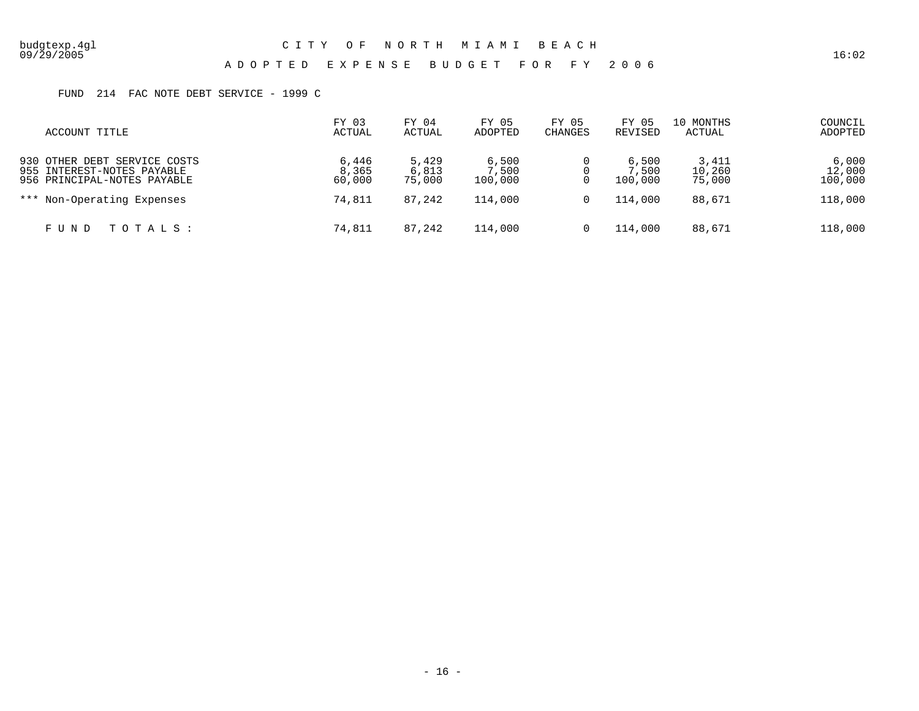A D O P T E D E X P E N S E B U D G E T F O R F Y 2 0 0 6

FUND 214 FAC NOTE DEBT SERVICE - 1999 C

| ACCOUNT TITLE                | FY 03  | FY 04  | FY 05   | FY 05          | FY 05   | 10 MONTHS | COUNCIL |
|------------------------------|--------|--------|---------|----------------|---------|-----------|---------|
|                              | ACTUAL | ACTUAL | ADOPTED | <b>CHANGES</b> | REVISED | ACTUAL    | ADOPTED |
| 930 OTHER DEBT SERVICE COSTS | 6,446  | 5,429  | 6,500   |                | 6,500   | 3,411     | 6,000   |
| 955 INTEREST-NOTES PAYABLE   | 8,365  | 6,813  | 7,500   |                | 7,500   | 10,260    | 12,000  |
| 956 PRINCIPAL-NOTES PAYABLE  | 60,000 | 75,000 | 100,000 |                | 100,000 | 75,000    | 100,000 |
| *** Non-Operating Expenses   | 74,811 | 87,242 | 114,000 | 0              | 114,000 | 88,671    | 118,000 |
| TOTALS:<br>FUND              | 74,811 | 87,242 | 114,000 |                | 114,000 | 88,671    | 118,000 |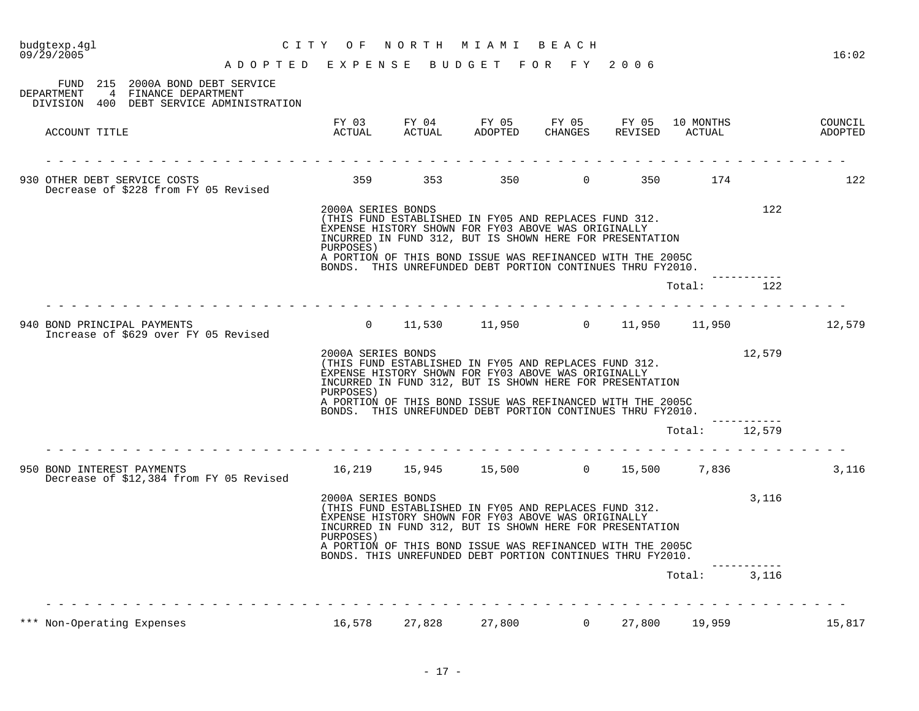| budgtexp.4gl<br>09/29/2005                                                                                                     | NORTH MIAMI<br>C I T Y<br>O F<br>BEACH<br>BUDGET FOR FY 2006<br>A D O P T E D E X P E N S E |                                                                                                                                                                                                                                                                                                                                      |                        |                   |                  |                     |        |                    |  |  |
|--------------------------------------------------------------------------------------------------------------------------------|---------------------------------------------------------------------------------------------|--------------------------------------------------------------------------------------------------------------------------------------------------------------------------------------------------------------------------------------------------------------------------------------------------------------------------------------|------------------------|-------------------|------------------|---------------------|--------|--------------------|--|--|
| 215 2000A BOND DEBT SERVICE<br>FUND<br>FINANCE DEPARTMENT<br>DEPARTMENT<br>4<br>DEBT SERVICE ADMINISTRATION<br>DIVISION<br>400 |                                                                                             |                                                                                                                                                                                                                                                                                                                                      |                        |                   |                  |                     |        |                    |  |  |
| ACCOUNT TITLE                                                                                                                  | FY 03<br>ACTUAL                                                                             | FY 04<br>ACTUAL                                                                                                                                                                                                                                                                                                                      | FY 05<br>ADOPTED       | FY 05<br>CHANGES  | FY 05<br>REVISED | 10 MONTHS<br>ACTUAL |        | COUNCIL<br>ADOPTED |  |  |
| 930 OTHER DEBT SERVICE COSTS<br>Decrease of \$228 from FY 05 Revised                                                           | 359                                                                                         | 353                                                                                                                                                                                                                                                                                                                                  | 350                    | $\overline{0}$    | 350              | 174                 |        | 122                |  |  |
|                                                                                                                                | PURPOSES)                                                                                   | 122<br>2000A SERIES BONDS<br>(THIS FUND ESTABLISHED IN FY05 AND REPLACES FUND 312.<br>EXPENSE HISTORY SHOWN FOR FY03 ABOVE WAS ORIGINALLY<br>INCURRED IN FUND 312, BUT IS SHOWN HERE FOR PRESENTATION<br>A PORTION OF THIS BOND ISSUE WAS REFINANCED WITH THE 2005C<br>BONDS. THIS UNREFUNDED DEBT PORTION CONTINUES THRU FY2010.    |                        |                   |                  |                     |        |                    |  |  |
|                                                                                                                                |                                                                                             |                                                                                                                                                                                                                                                                                                                                      |                        |                   |                  | Total:              | 122    |                    |  |  |
| 940 BOND PRINCIPAL PAYMENTS<br>Increase of \$629 over FY 05 Revised                                                            | $\Omega$                                                                                    | 11,530                                                                                                                                                                                                                                                                                                                               | 11,950 11,950          | $\overline{0}$    | 11,950           | 11,950              |        | 12,579             |  |  |
|                                                                                                                                | PURPOSES)                                                                                   | 2000A SERIES BONDS<br>12,579<br>(THIS FUND ESTABLISHED IN FY05 AND REPLACES FUND 312.<br>EXPENSE HISTORY SHOWN FOR FY03 ABOVE WAS ORIGINALLY<br>INCURRED IN FUND 312, BUT IS SHOWN HERE FOR PRESENTATION<br>A PORTION OF THIS BOND ISSUE WAS REFINANCED WITH THE 2005C<br>BONDS. THIS UNREFUNDED DEBT PORTION CONTINUES THRU FY2010. |                        |                   |                  |                     |        |                    |  |  |
|                                                                                                                                |                                                                                             |                                                                                                                                                                                                                                                                                                                                      |                        |                   |                  | Total:              | 12,579 |                    |  |  |
| 950 BOND INTEREST PAYMENTS<br>Decrease of \$12,384 from FY 05 Revised                                                          |                                                                                             |                                                                                                                                                                                                                                                                                                                                      | 16,219 15,945 15,500 0 |                   | 15,500           | 7,836               |        | 3,116              |  |  |
|                                                                                                                                | PURPOSES)                                                                                   | 3,116<br>2000A SERIES BONDS<br>(THIS FUND ESTABLISHED IN FY05 AND REPLACES FUND 312.<br>EXPENSE HISTORY SHOWN FOR FY03 ABOVE WAS ORIGINALLY<br>INCURRED IN FUND 312, BUT IS SHOWN HERE FOR PRESENTATION<br>A PORTION OF THIS BOND ISSUE WAS REFINANCED WITH THE 2005C<br>BONDS. THIS UNREFUNDED DEBT PORTION CONTINUES THRU FY2010.  |                        |                   |                  |                     |        |                    |  |  |
|                                                                                                                                |                                                                                             |                                                                                                                                                                                                                                                                                                                                      |                        |                   |                  | Total:              | 3,116  |                    |  |  |
| *** Non-Operating Expenses                                                                                                     | 16,578                                                                                      | 27,828                                                                                                                                                                                                                                                                                                                               | 27,800                 | $0 \qquad \qquad$ | 27,800           | 19,959              |        | 15,817             |  |  |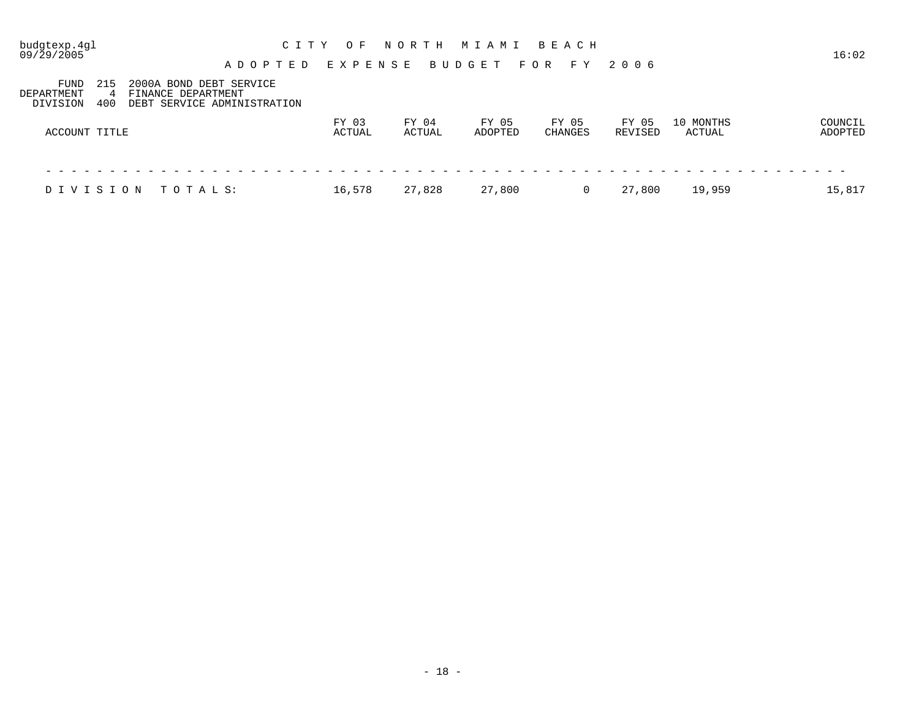| budgtexp.4gl<br>09/29/2005                        | ADOPTED                                                                      | C I T Y | O F<br>EXPENSE  | N O R T H<br>BUDGET | MIAMI<br>F O R   | B E A C H<br>F Y        | 2006             |                     | 16:02              |
|---------------------------------------------------|------------------------------------------------------------------------------|---------|-----------------|---------------------|------------------|-------------------------|------------------|---------------------|--------------------|
| FUND<br>215<br>DEPARTMENT<br>4<br>400<br>DIVISION | 2000A BOND DEBT SERVICE<br>FINANCE DEPARTMENT<br>DEBT SERVICE ADMINISTRATION |         |                 |                     |                  |                         |                  |                     |                    |
| ACCOUNT TITLE                                     |                                                                              |         | FY 03<br>ACTUAL | FY 04<br>ACTUAL     | FY 05<br>ADOPTED | FY 05<br><b>CHANGES</b> | FY 05<br>REVISED | 10 MONTHS<br>ACTUAL | COUNCIL<br>ADOPTED |
|                                                   |                                                                              |         |                 |                     |                  |                         |                  |                     |                    |
| DIVISION                                          | TOTAL S:                                                                     |         | 16,578          | 27,828              | 27,800           |                         | 27,800           | 19,959              | 15,817             |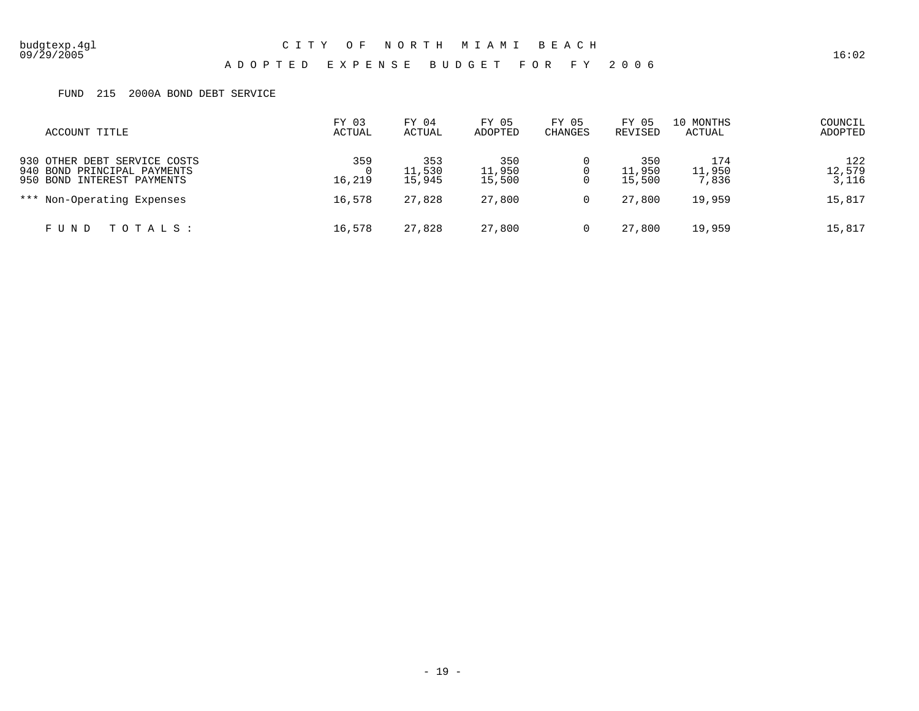A D O P T E D E X P E N S E B U D G E T F O R F Y 2 0 0 6

#### FUND 215 2000A BOND DEBT SERVICE

| ACCOUNT TITLE                                                                             | FY 03<br>ACTUAL | FY 04<br>ACTUAL         | FY 05<br>ADOPTED        | FY 05<br><b>CHANGES</b> | FY 05<br>REVISED        | 10 MONTHS<br>ACTUAL    | COUNCIL<br>ADOPTED     |
|-------------------------------------------------------------------------------------------|-----------------|-------------------------|-------------------------|-------------------------|-------------------------|------------------------|------------------------|
| 930 OTHER DEBT SERVICE COSTS<br>940 BOND PRINCIPAL PAYMENTS<br>950 BOND INTEREST PAYMENTS | 359<br>16,219   | 353<br>11,530<br>15,945 | 350<br>11,950<br>15,500 |                         | 350<br>11,950<br>15,500 | 174<br>11,950<br>7,836 | 122<br>12,579<br>3,116 |
| *** Non-Operating Expenses                                                                | 16,578          | 27,828                  | 27,800                  |                         | 27,800                  | 19,959                 | 15,817                 |
| TOTALS :<br>F U N D                                                                       | 16,578          | 27,828                  | 27,800                  |                         | 27,800                  | 19,959                 | 15,817                 |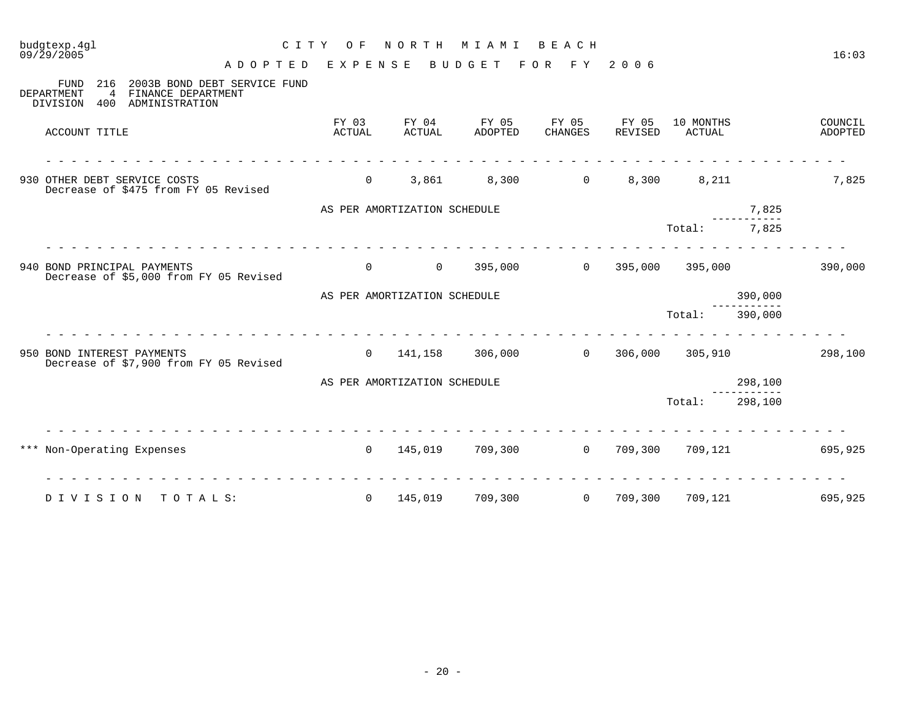| $09/\bar{2}9/2005$<br>A D O P T E D                                                                                       | EXPENSE                      |                 | BUDGET           | FOR FY 2006       |                   |                     |         | 16:03              |
|---------------------------------------------------------------------------------------------------------------------------|------------------------------|-----------------|------------------|-------------------|-------------------|---------------------|---------|--------------------|
| 2003B BOND DEBT SERVICE FUND<br>216<br>FUND<br>DEPARTMENT<br>4<br>FINANCE DEPARTMENT<br>ADMINISTRATION<br>DIVISION<br>400 |                              |                 |                  |                   |                   |                     |         |                    |
| ACCOUNT TITLE                                                                                                             | FY 03<br>ACTUAL              | FY 04<br>ACTUAL | FY 05<br>ADOPTED | FY 05<br>CHANGES  | FY 05<br>REVISED  | 10 MONTHS<br>ACTUAL |         | COUNCIL<br>ADOPTED |
| 930 OTHER DEBT SERVICE COSTS<br>Decrease of \$475 from FY 05 Revised                                                      | $\Omega$                     | 3,861           | 8,300            | $\overline{0}$    | 8,300             | 8,211               |         | 7,825              |
|                                                                                                                           | AS PER AMORTIZATION SCHEDULE |                 |                  |                   |                   |                     | 7,825   |                    |
|                                                                                                                           |                              |                 |                  |                   |                   | Total:              | 7,825   |                    |
| 940 BOND PRINCIPAL PAYMENTS<br>Decrease of \$5,000 from FY 05 Revised                                                     | $\Omega$                     | $\overline{0}$  | 395,000          | $0 \qquad \qquad$ | 395,000           |                     | 395,000 | 390,000            |
|                                                                                                                           | AS PER AMORTIZATION SCHEDULE |                 |                  |                   |                   |                     | 390,000 |                    |
|                                                                                                                           |                              |                 |                  |                   |                   | Total:              | 390,000 |                    |
| 950 BOND INTEREST PAYMENTS<br>Decrease of \$7,900 from FY 05 Revised                                                      | $\Omega$                     |                 | 141,158 306,000  | 0                 |                   | 306,000 305,910     |         | 298,100            |
|                                                                                                                           | AS PER AMORTIZATION SCHEDULE |                 |                  |                   |                   |                     | 298,100 |                    |
|                                                                                                                           |                              |                 |                  |                   |                   | Total:              | 298,100 |                    |
| *** Non-Operating Expenses<br>.                                                                                           | $\Omega$                     |                 | 145,019 709,300  |                   | $0\qquad 709,300$ | 709,121             |         | 695,925            |
| DIVISION TOTALS:                                                                                                          | $\overline{0}$               | 145,019         | 709,300          | $\overline{0}$    | 709,300           | 709,121             |         | 695,925            |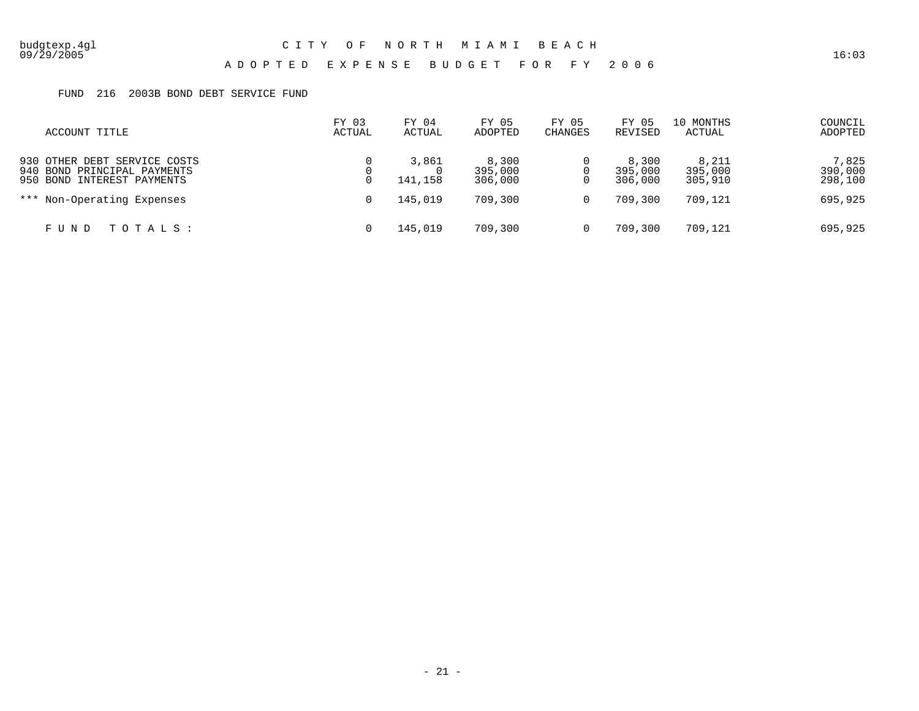A D O P T E D E X P E N S E B U D G E T F O R F Y 2 0 0 6

### FUND 216 2003B BOND DEBT SERVICE FUND

| ACCOUNT TITLE                                                                             | FY 03<br>ACTUAL | FY 04<br>ACTUAL  | FY 05<br>ADOPTED            | FY 05<br><b>CHANGES</b> | FY 05<br>REVISED            | 10 MONTHS<br>ACTUAL         | COUNCIL<br>ADOPTED          |
|-------------------------------------------------------------------------------------------|-----------------|------------------|-----------------------------|-------------------------|-----------------------------|-----------------------------|-----------------------------|
| 930 OTHER DEBT SERVICE COSTS<br>940 BOND PRINCIPAL PAYMENTS<br>950 BOND INTEREST PAYMENTS |                 | 3,861<br>141,158 | 8,300<br>395,000<br>306,000 |                         | 8,300<br>395,000<br>306,000 | 8,211<br>395,000<br>305,910 | 7,825<br>390,000<br>298,100 |
| *** Non-Operating Expenses                                                                |                 | 145,019          | 709,300                     | 0                       | 709,300                     | 709,121                     | 695,925                     |
| TOTALS :<br>F U N D                                                                       |                 | 145,019          | 709,300                     |                         | 709,300                     | 709,121                     | 695,925                     |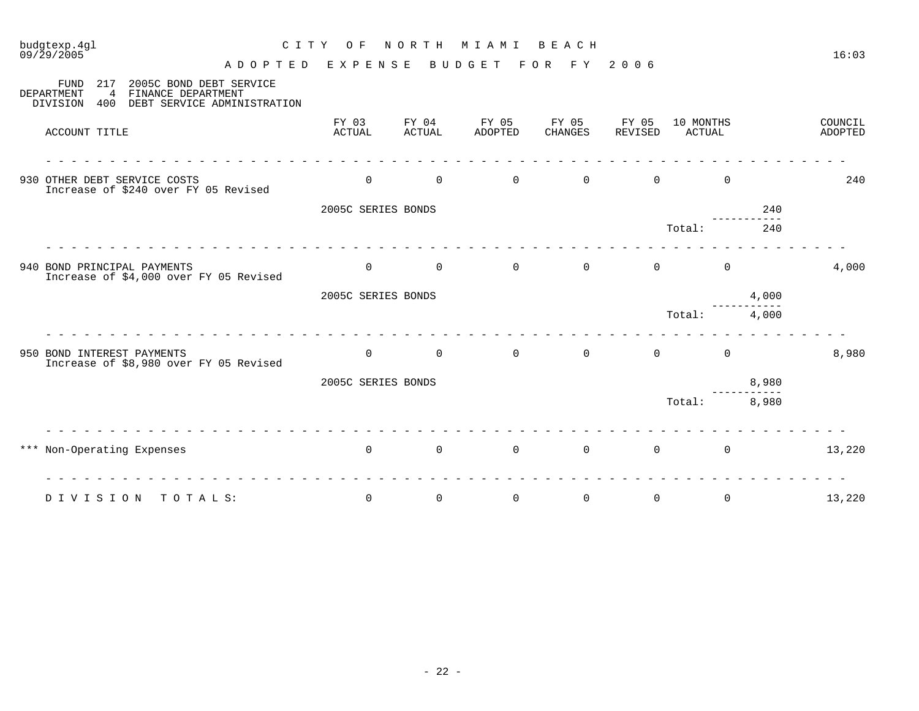| budgtexp.4gl<br>09/29/2005            |                                                                                                 | C I T Y<br>O F     | NORTH           | M I A M I        | BEACH            |                  |                     | 16:03              |
|---------------------------------------|-------------------------------------------------------------------------------------------------|--------------------|-----------------|------------------|------------------|------------------|---------------------|--------------------|
|                                       | A D O P T E D                                                                                   | EXPENSE            |                 | BUDGET           | F O R<br>F Y     | 2 0 0 6          |                     |                    |
| FUND<br>DEPARTMENT<br><b>DIVISION</b> | 2005C BOND DEBT SERVICE<br>217<br>FINANCE DEPARTMENT<br>4<br>DEBT SERVICE ADMINISTRATION<br>400 |                    |                 |                  |                  |                  |                     |                    |
| ACCOUNT TITLE                         |                                                                                                 | FY 03<br>ACTUAL    | FY 04<br>ACTUAL | FY 05<br>ADOPTED | FY 05<br>CHANGES | FY 05<br>REVISED | 10 MONTHS<br>ACTUAL | COUNCIL<br>ADOPTED |
|                                       | 930 OTHER DEBT SERVICE COSTS<br>Increase of \$240 over FY 05 Revised                            | $\mathbf 0$        | $\mathsf{O}$    | $\overline{0}$   | $\overline{0}$   | $\mathbf 0$      | $\mathbf 0$         | 240                |
|                                       |                                                                                                 | 2005C SERIES BONDS |                 |                  |                  |                  | 240                 |                    |
|                                       |                                                                                                 |                    |                 |                  |                  | Total:           | 240                 |                    |
|                                       | 940 BOND PRINCIPAL PAYMENTS<br>Increase of \$4,000 over FY 05 Revised                           | $\mathbf 0$        | $\mathsf{O}$    | $\overline{0}$   | $\mathsf{O}$     | $\mathsf{O}$     | $\mathbf 0$         | 4,000              |
|                                       |                                                                                                 | 2005C SERIES BONDS |                 |                  |                  |                  | 4,000               |                    |
|                                       |                                                                                                 |                    |                 |                  |                  | Total:           | 4,000               |                    |
|                                       | 950 BOND INTEREST PAYMENTS<br>Increase of \$8,980 over FY 05 Revised                            | $\mathbf 0$        | $\mathsf{O}$    | $\mathbf 0$      | $\overline{0}$   | $\mathbf 0$      | $\mathbf 0$         | 8,980              |
|                                       |                                                                                                 | 2005C SERIES BONDS |                 |                  |                  |                  | 8,980               |                    |
|                                       |                                                                                                 |                    |                 |                  |                  | Total:           | 8,980               |                    |
| ***                                   | Non-Operating Expenses                                                                          | $\mathbf 0$        | $\mathsf{O}$    | $\mathbf{0}$     | $\mathbf 0$      | $\mathsf{O}$     | $\mathbf 0$         | 13,220             |
| DIVISION                              | TOTALS:                                                                                         | 0                  | $\mathbf 0$     | $\mathbf 0$      | $\mathbf 0$      | $\mathbf 0$      | 0                   | 13,220             |